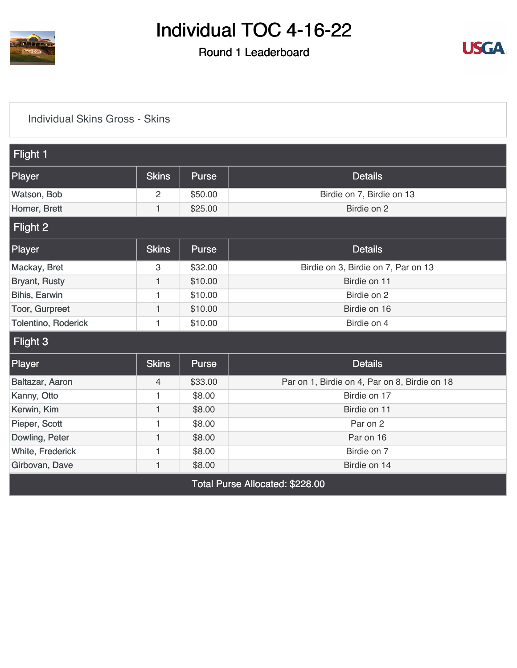

### Round 1 Leaderboard



#### [Individual Skins Gross - Skins](https://cdn2.golfgenius.com/v2tournaments/8392304021725004705?called_from=&round_index=1)

| Flight 1                   |              |              |                                               |
|----------------------------|--------------|--------------|-----------------------------------------------|
| Player                     | <b>Skins</b> | <b>Purse</b> | <b>Details</b>                                |
| Watson, Bob                | 2            | \$50.00      | Birdie on 7, Birdie on 13                     |
| Horner, Brett              | 1            | \$25.00      | Birdie on 2                                   |
| Flight 2                   |              |              |                                               |
| Player                     | <b>Skins</b> | <b>Purse</b> | <b>Details</b>                                |
| Mackay, Bret               | 3            | \$32.00      | Birdie on 3, Birdie on 7, Par on 13           |
| <b>Bryant, Rusty</b>       | 1            | \$10.00      | Birdie on 11                                  |
| Bihis, Earwin              | 1            | \$10.00      | Birdie on 2                                   |
| Toor, Gurpreet             | 1            | \$10.00      | Birdie on 16                                  |
| <b>Tolentino, Roderick</b> | 1            | \$10.00      | Birdie on 4                                   |
| Flight 3                   |              |              |                                               |
| Player                     | <b>Skins</b> | <b>Purse</b> | <b>Details</b>                                |
| Baltazar, Aaron            | 4            | \$33.00      | Par on 1, Birdie on 4, Par on 8, Birdie on 18 |
| Kanny, Otto                | 1            | \$8.00       | Birdie on 17                                  |
| Kerwin, Kim                | 1            | \$8.00       | Birdie on 11                                  |
| Pieper, Scott              | 1            | \$8.00       | Par on 2                                      |
| Dowling, Peter             | 1            | \$8.00       | Par on 16                                     |
| White, Frederick           | 1            | \$8.00       | Birdie on 7                                   |
| Girbovan, Dave             | $\mathbf{1}$ | \$8.00       | Birdie on 14                                  |
|                            |              |              | Total Purse Allocated: \$228.00               |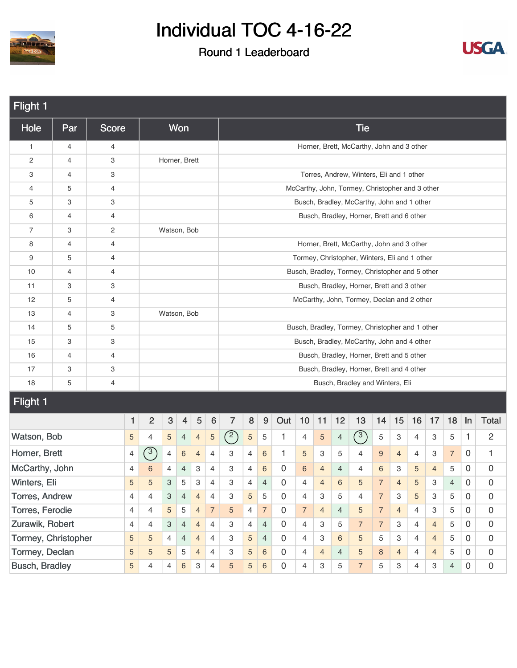



| Flight 1                                                            |                                                                                      |              |   |                |                |                |                |                 |     |                |                 |             |                          |                |                 |                                                 |                |                |                |                |                |                |                     |
|---------------------------------------------------------------------|--------------------------------------------------------------------------------------|--------------|---|----------------|----------------|----------------|----------------|-----------------|-----|----------------|-----------------|-------------|--------------------------|----------------|-----------------|-------------------------------------------------|----------------|----------------|----------------|----------------|----------------|----------------|---------------------|
| Hole                                                                | Par                                                                                  | <b>Score</b> |   |                |                | Won            |                |                 |     |                |                 |             |                          |                |                 | <b>Tie</b>                                      |                |                |                |                |                |                |                     |
| $\mathbf{1}$                                                        | 4                                                                                    | 4            |   |                |                |                |                |                 |     |                |                 |             |                          |                |                 | Horner, Brett, McCarthy, John and 3 other       |                |                |                |                |                |                |                     |
| 2                                                                   | 4                                                                                    | 3            |   |                | Horner, Brett  |                |                |                 |     |                |                 |             |                          |                |                 |                                                 |                |                |                |                |                |                |                     |
| 3                                                                   | 4                                                                                    | 3            |   |                |                |                |                |                 |     |                |                 |             |                          |                |                 | Torres, Andrew, Winters, Eli and 1 other        |                |                |                |                |                |                |                     |
| 4                                                                   | 5                                                                                    | 4            |   |                |                |                |                |                 |     |                |                 |             |                          |                |                 | McCarthy, John, Tormey, Christopher and 3 other |                |                |                |                |                |                |                     |
| 5                                                                   | 3                                                                                    | 3            |   |                |                |                |                |                 |     |                |                 |             |                          |                |                 | Busch, Bradley, McCarthy, John and 1 other      |                |                |                |                |                |                |                     |
| 6                                                                   | 4                                                                                    | 4            |   |                |                |                |                |                 |     |                |                 |             |                          |                |                 | Busch, Bradley, Horner, Brett and 6 other       |                |                |                |                |                |                |                     |
| 7                                                                   | 3                                                                                    | $\mathbf{2}$ |   |                | Watson, Bob    |                |                |                 |     |                |                 |             |                          |                |                 |                                                 |                |                |                |                |                |                |                     |
| 8                                                                   | 4                                                                                    | 4            |   |                |                |                |                |                 |     |                |                 |             |                          |                |                 | Horner, Brett, McCarthy, John and 3 other       |                |                |                |                |                |                |                     |
| 9                                                                   | 5                                                                                    | 4            |   |                |                |                |                |                 |     |                |                 |             |                          |                |                 | Tormey, Christopher, Winters, Eli and 1 other   |                |                |                |                |                |                |                     |
| 10                                                                  | 4                                                                                    | 4            |   |                |                |                |                |                 |     |                |                 |             |                          |                |                 | Busch, Bradley, Tormey, Christopher and 5 other |                |                |                |                |                |                |                     |
| 11                                                                  | 3                                                                                    | 3            |   |                |                |                |                |                 |     |                |                 |             |                          |                |                 | Busch, Bradley, Horner, Brett and 3 other       |                |                |                |                |                |                |                     |
| 12                                                                  | 5                                                                                    | 4            |   |                |                |                |                |                 |     |                |                 |             |                          |                |                 | McCarthy, John, Tormey, Declan and 2 other      |                |                |                |                |                |                |                     |
| 13                                                                  | 4                                                                                    | 3            |   |                | Watson, Bob    |                |                |                 |     |                |                 |             |                          |                |                 |                                                 |                |                |                |                |                |                |                     |
| 14                                                                  | 5                                                                                    | 5            |   |                |                |                |                |                 |     |                |                 |             |                          |                |                 | Busch, Bradley, Tormey, Christopher and 1 other |                |                |                |                |                |                |                     |
| 15                                                                  | 3                                                                                    | 3            |   |                |                |                |                |                 |     |                |                 |             |                          |                |                 | Busch, Bradley, McCarthy, John and 4 other      |                |                |                |                |                |                |                     |
| 16                                                                  | 4                                                                                    | 4            |   |                |                |                |                |                 |     |                |                 |             |                          |                |                 | Busch, Bradley, Horner, Brett and 5 other       |                |                |                |                |                |                |                     |
| 17                                                                  | 3                                                                                    | 3            |   |                |                |                |                |                 |     |                |                 |             |                          |                |                 | Busch, Bradley, Horner, Brett and 4 other       |                |                |                |                |                |                |                     |
| 18                                                                  | 5                                                                                    | 4            |   |                |                |                |                |                 |     |                |                 |             |                          |                |                 | Busch, Bradley and Winters, Eli                 |                |                |                |                |                |                |                     |
| <b>Flight 1</b>                                                     |                                                                                      |              |   |                |                |                |                |                 |     |                |                 |             |                          |                |                 |                                                 |                |                |                |                |                |                |                     |
|                                                                     |                                                                                      |              | 1 | $\overline{c}$ | 3              | $\overline{4}$ | $\sqrt{5}$     | $6\phantom{1}6$ | 7   | $\bf 8$        | 9               | Out         | 10                       | 11             | 12              | 13                                              | 14             | 15             | 16             | 17             | 18             | $\ln$          | <b>Total</b>        |
| Watson, Bob                                                         |                                                                                      |              | 5 | 4              | $\sqrt{5}$     | $\overline{4}$ | $\overline{4}$ | $\sqrt{5}$      | (2) | $\mathbf 5$    | $\mathbf 5$     | 1           | 4                        | 5              | $\overline{4}$  | (3)                                             | $\mathbf 5$    | $\mathbf{3}$   | 4              | 3              | 5              | $\mathbf{1}$   | $\overline{c}$      |
| Horner, Brett                                                       |                                                                                      |              | 4 | $\sqrt{3}$     | 4              | $\,6\,$        | $\overline{4}$ | 4               | 3   | $\overline{4}$ | 6               | 1           | 5                        | З              | 5               | 4                                               | 9              | $\overline{4}$ | 4              | 3              | $\overline{7}$ | 0              | 1                   |
| McCarthy, John                                                      |                                                                                      |              | 4 | 6              | 4              | 4              | 3              | $\overline{4}$  | 3   | 4              | $6\phantom{1}6$ | 0           | $\,6$                    | $\overline{4}$ | $\overline{4}$  | 4                                               | 6              | 3              | 5              | $\overline{4}$ | 5              | 0              | $\mathbf 0$         |
|                                                                     | Winters, Eli<br>5<br>5<br>$\ensuremath{\mathsf{3}}$<br>5<br>3                        |              |   |                |                |                |                | $\overline{4}$  | 3   | 4              | $\overline{4}$  | 0           | $\overline{\mathcal{L}}$ | $\overline{4}$ | $6\phantom{1}6$ | 5                                               | $\overline{7}$ | $\overline{4}$ | 5              | З              | $\overline{4}$ | $\mathbf 0$    | 0                   |
| Torres, Andrew<br>$\ensuremath{\mathsf{3}}$<br>4<br>4               |                                                                                      |              |   |                |                |                | $\overline{4}$ | $\overline{4}$  | 3   | 5              | 5               | $\mathbf 0$ | $\overline{4}$           | 3              | 5               | 4                                               | $\overline{7}$ | 3              | 5              | 3              | 5              | 0              | $\mathbf 0$         |
| Torres, Ferodie<br>4<br>$\overline{4}$<br>$\sqrt{5}$<br>$\mathbf 5$ |                                                                                      |              |   |                |                |                | $\overline{4}$ | $\overline{7}$  | 5   | $\overline{4}$ | $\overline{7}$  | $\mathbf 0$ | $\overline{7}$           | $\overline{4}$ | $\overline{4}$  | 5                                               | $\overline{7}$ | $\overline{4}$ | $\overline{4}$ | 3              | 5              | $\overline{0}$ | $\mathsf{O}\xspace$ |
|                                                                     | Zurawik, Robert<br>$\overline{4}$<br>4<br>4<br>3<br>$\overline{4}$<br>$\overline{4}$ |              |   |                |                |                |                |                 | 3   | $\overline{4}$ | $\overline{4}$  | $\mathbf 0$ | 4                        | З              | 5               | $\overline{7}$                                  | $\overline{7}$ | 3              | $\overline{4}$ | $\overline{4}$ | 5              | 0              | $\mathbf 0$         |
| Tormey, Christopher                                                 |                                                                                      |              | 5 | 5              | 4              | 4              | $\overline{4}$ | $\overline{4}$  | 3   | 5              | $\overline{4}$  | 0           | $\overline{4}$           | З              | $6\phantom{1}6$ | 5                                               | 5              | 3              | $\overline{4}$ | $\overline{4}$ | 5              | 0              | $\mathsf{O}\xspace$ |
| Tormey, Declan                                                      |                                                                                      |              | 5 | 5              | $\sqrt{5}$     | 5              | $\overline{4}$ | $\overline{4}$  | 3   | 5              | $\sqrt{6}$      | $\mathbf 0$ | $\overline{4}$           | $\overline{4}$ | $\overline{4}$  | 5                                               | 8              | $\overline{4}$ | $\overline{4}$ | $\overline{4}$ | 5              | 0              | $\mathsf{O}\xspace$ |
| <b>Busch, Bradley</b>                                               |                                                                                      |              | 5 | 4              | $\overline{4}$ | $\,6\,$        | 3              | 4               | 5   | 5              | $\,6\,$         | $\mathbf 0$ | 4                        | 3              | 5               | $\overline{7}$                                  | 5              | 3              | $\overline{4}$ | 3              | $\overline{4}$ | $\overline{0}$ | $\mathbf 0$         |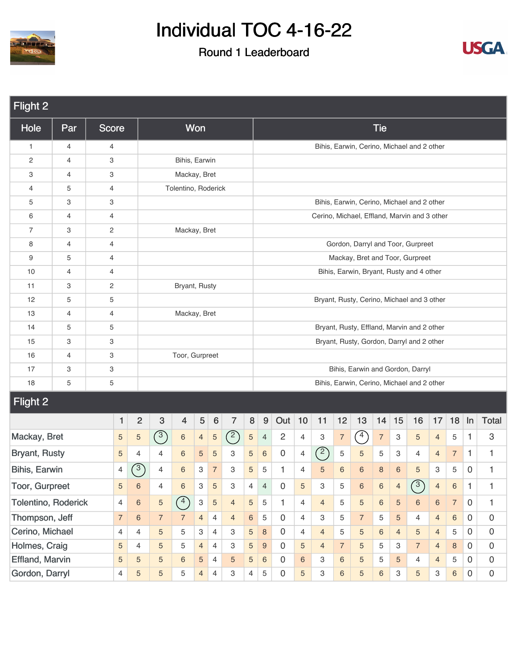



| <b>Flight 2</b>            |                |                         |                |                |                                                                         |                     |                |                |                |                |                |                |                |                |                |                |                |                |                                              |                |                |                |                     |
|----------------------------|----------------|-------------------------|----------------|----------------|-------------------------------------------------------------------------|---------------------|----------------|----------------|----------------|----------------|----------------|----------------|----------------|----------------|----------------|----------------|----------------|----------------|----------------------------------------------|----------------|----------------|----------------|---------------------|
| <b>Hole</b>                | Par            | <b>Score</b>            |                |                |                                                                         |                     | Won            |                |                |                |                |                |                |                |                |                | <b>Tie</b>     |                |                                              |                |                |                |                     |
| 1                          | 4              | 4                       |                |                |                                                                         |                     |                |                |                |                |                |                |                |                |                |                |                |                | Bihis, Earwin, Cerino, Michael and 2 other   |                |                |                |                     |
| $\overline{c}$             | $\overline{4}$ | 3                       |                |                |                                                                         | Bihis, Earwin       |                |                |                |                |                |                |                |                |                |                |                |                |                                              |                |                |                |                     |
| 3                          | 4              | 3                       |                |                |                                                                         | Mackay, Bret        |                |                |                |                |                |                |                |                |                |                |                |                |                                              |                |                |                |                     |
| 4                          | 5              | $\overline{4}$          |                |                |                                                                         | Tolentino, Roderick |                |                |                |                |                |                |                |                |                |                |                |                |                                              |                |                |                |                     |
| 5                          | 3              | 3                       |                |                |                                                                         |                     |                |                |                |                |                |                |                |                |                |                |                |                | Bihis, Earwin, Cerino, Michael and 2 other   |                |                |                |                     |
| 6                          | 4              | $\overline{4}$          |                |                |                                                                         |                     |                |                |                |                |                |                |                |                |                |                |                |                | Cerino, Michael, Effland, Marvin and 3 other |                |                |                |                     |
| 7                          | 3              | $\overline{\mathbf{c}}$ |                |                |                                                                         | Mackay, Bret        |                |                |                |                |                |                |                |                |                |                |                |                |                                              |                |                |                |                     |
| 8                          | 4              | $\overline{4}$          |                |                |                                                                         |                     |                |                |                |                |                |                |                |                |                |                |                |                | Gordon, Darryl and Toor, Gurpreet            |                |                |                |                     |
| 9                          | 5              | $\overline{4}$          |                |                |                                                                         |                     |                |                |                |                |                |                |                |                |                |                |                |                | Mackay, Bret and Toor, Gurpreet              |                |                |                |                     |
| 10                         | $\overline{4}$ | $\overline{4}$          |                |                |                                                                         |                     |                |                |                |                |                |                |                |                |                |                |                |                | Bihis, Earwin, Bryant, Rusty and 4 other     |                |                |                |                     |
| 11                         | 3              | 2                       |                |                |                                                                         | Bryant, Rusty       |                |                |                |                |                |                |                |                |                |                |                |                |                                              |                |                |                |                     |
| 12                         | 5              | 5                       |                |                |                                                                         |                     |                |                |                |                |                |                |                |                |                |                |                |                | Bryant, Rusty, Cerino, Michael and 3 other   |                |                |                |                     |
| 13                         | 4              | $\overline{4}$          |                |                |                                                                         | Mackay, Bret        |                |                |                |                |                |                |                |                |                |                |                |                |                                              |                |                |                |                     |
| 14                         | 5              | 5                       |                |                |                                                                         |                     |                |                |                |                |                |                |                |                |                |                |                |                | Bryant, Rusty, Effland, Marvin and 2 other   |                |                |                |                     |
| 15                         | 3              | 3                       |                |                |                                                                         |                     |                |                |                |                |                |                |                |                |                |                |                |                | Bryant, Rusty, Gordon, Darryl and 2 other    |                |                |                |                     |
| 16                         | 4              | 3                       |                |                |                                                                         | Toor, Gurpreet      |                |                |                |                |                |                |                |                |                |                |                |                |                                              |                |                |                |                     |
| 17                         | 3              | 3                       |                |                |                                                                         |                     |                |                |                |                |                |                |                |                |                |                |                |                | Bihis, Earwin and Gordon, Darryl             |                |                |                |                     |
| 18                         | 5              | 5                       |                |                |                                                                         |                     |                |                |                |                |                |                |                |                |                |                |                |                | Bihis, Earwin, Cerino, Michael and 2 other   |                |                |                |                     |
| Flight 2                   |                |                         |                |                |                                                                         |                     |                |                |                |                |                |                |                |                |                |                |                |                |                                              |                |                |                |                     |
|                            |                |                         | 1              | $\overline{2}$ | 3                                                                       | 4                   | 5              | $6\phantom{1}$ | $\overline{7}$ | 8              | 9              | Out            | 10             | 11             | 12             | 13             | 14             | 15             | 16                                           | 17             | 18             | In             | <b>Total</b>        |
| Mackay, Bret               |                |                         | 5              | $\sqrt{5}$     | $\left( \begin{matrix} 3 \end{matrix} \right)$                          | $\,6\,$             | $\overline{4}$ | 5              | (2)            | $\sqrt{5}$     | $\overline{4}$ | $\overline{c}$ | 4              | 3              | $\overline{7}$ | $\sqrt{4}$     | $\overline{7}$ | 3              | 5                                            | $\overline{4}$ | 5              | 1              | 3                   |
| <b>Bryant, Rusty</b>       |                |                         | 5              | 4              | 4                                                                       | $6\,$               | 5              | 5              | 3              | 5              | $\,6\,$        | 0              | $\overline{4}$ | $\binom{2}{ }$ | 5              | $\sqrt{5}$     | 5              | 3              | 4                                            | $\overline{4}$ | $\overline{7}$ | 1              | 1                   |
| Bihis, Earwin              |                |                         | 4              | $\sqrt{3}$     | 4                                                                       | $\,$ 6 $\,$         | 3              | $\overline{7}$ | 3              | 5              | $\mathbf 5$    | $\mathbf{1}$   | 4              | 5              | 6              | 6              | 8              | $\,6$          | 5                                            | 3              | 5              | 0              | 1                   |
| <b>Toor, Gurpreet</b>      |                |                         | $\sqrt{5}$     | $\,6\,$        | 4                                                                       | $\,6\,$             | $\,3$          | $\sqrt{5}$     | 3              | $\overline{4}$ | $\overline{4}$ | 0              | $\sqrt{5}$     | 3              | 5              | $\,6\,$        | $\,6\,$        | $\overline{4}$ | (3)                                          | $\overline{4}$ | $\,6\,$        | 1              | 1                   |
| <b>Tolentino, Roderick</b> |                |                         | $\overline{4}$ | $\,6\,$        | $\binom{4}{}$<br>$\mathbf{3}$<br>5<br>5<br>$\sqrt{5}$<br>$\overline{4}$ |                     |                |                |                |                |                | 1              | $\overline{4}$ | $\overline{4}$ | 5              | $\overline{5}$ | $6\phantom{a}$ | $\sqrt{5}$     | $\,6\,$                                      | $\,6\,$        | $\overline{7}$ | $\mathbf 0$    | 1                   |
| Thompson, Jeff             |                | $\,6\,$                 | $\overline{7}$ | $\overline{7}$ | $\overline{4}$                                                          | $\overline{4}$      | $\overline{4}$ | $\,6\,$        | 5              | $\mathbf 0$    | 4              | З              | 5              | $\overline{7}$ | 5              | 5              | 4              | $\overline{4}$ | $6\phantom{a}$                               | $\overline{0}$ | $\mathsf 0$    |                |                     |
| Cerino, Michael            |                |                         | $\overline{4}$ | 4              | 5                                                                       | 5                   | 3              | 4              | 3              | $\sqrt{5}$     | $\,8\,$        | $\mathsf{O}$   | 4              | $\overline{4}$ | 5              | 5              | 6              | $\overline{4}$ | 5                                            | $\overline{4}$ | $\,$ 5 $\,$    | 0              | $\mathbf 0$         |
| Holmes, Craig              |                |                         | 5              | 4              | 5                                                                       | 5                   | $\overline{4}$ | $\overline{4}$ | З              | 5              | 9              | $\mathbf 0$    | 5              | $\overline{4}$ | $\overline{7}$ | 5              | 5              | 3              | $\overline{7}$                               | $\overline{4}$ | 8              | 0              | $\mathsf{O}\xspace$ |
| Effland, Marvin            |                |                         | 5              | 5              | 5                                                                       | $\,6\,$             | 5              | $\overline{4}$ | 5              | $\sqrt{5}$     | $\,6\,$        | $\mathbf 0$    | $\,6\,$        | 3              | $\,$ 6 $\,$    | 5              | 5              | 5              | 4                                            | $\overline{4}$ | $\overline{5}$ | $\overline{0}$ | $\mathsf{O}\xspace$ |
| Gordon, Darryl             |                |                         | 4              | 5              | 5                                                                       | 5                   | $\overline{4}$ | $\overline{4}$ | 3              | $\overline{4}$ | $\mathbf 5$    | 0              | 5              | 3              | $\,6\,$        | 5              | $6\phantom{a}$ | 3              | 5                                            | $\mathbf 3$    | $6\phantom{a}$ | $\mathbf 0$    | $\mathbf 0$         |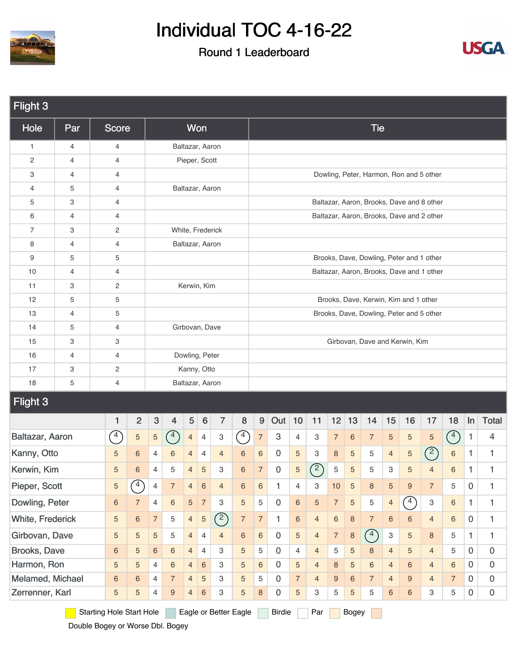

### Round 1 Leaderboard



| Flight 3         |                         |  |                |                                 |                |                  |                |                          |                       |                   |                  |                     |                |                |                |                |                |                           |                                       |                                           |                |              |                     |
|------------------|-------------------------|--|----------------|---------------------------------|----------------|------------------|----------------|--------------------------|-----------------------|-------------------|------------------|---------------------|----------------|----------------|----------------|----------------|----------------|---------------------------|---------------------------------------|-------------------------------------------|----------------|--------------|---------------------|
| Hole             | Par                     |  | <b>Score</b>   |                                 |                |                  |                | Won                      |                       |                   |                  |                     |                |                |                |                | <b>Tie</b>     |                           |                                       |                                           |                |              |                     |
| $\mathbf{1}$     | 4                       |  | 4              |                                 |                |                  |                | Baltazar, Aaron          |                       |                   |                  |                     |                |                |                |                |                |                           |                                       |                                           |                |              |                     |
| $\overline{c}$   | 4                       |  | 4              |                                 |                |                  |                | Pieper, Scott            |                       |                   |                  |                     |                |                |                |                |                |                           |                                       |                                           |                |              |                     |
| 3                | 4                       |  | 4              |                                 |                |                  |                |                          |                       |                   |                  |                     |                |                |                |                |                |                           |                                       | Dowling, Peter, Harmon, Ron and 5 other   |                |              |                     |
| $\overline{4}$   | 5                       |  | 4              |                                 |                |                  |                | Baltazar, Aaron          |                       |                   |                  |                     |                |                |                |                |                |                           |                                       |                                           |                |              |                     |
| 5                | 3                       |  | 4              |                                 |                |                  |                |                          |                       |                   |                  |                     |                |                |                |                |                |                           |                                       | Baltazar, Aaron, Brooks, Dave and 8 other |                |              |                     |
| 6                | 4                       |  | 4              |                                 |                |                  |                |                          |                       |                   |                  |                     |                |                |                |                |                |                           |                                       | Baltazar, Aaron, Brooks, Dave and 2 other |                |              |                     |
| $\overline{7}$   | 3                       |  | $\overline{c}$ |                                 |                |                  |                | White, Frederick         |                       |                   |                  |                     |                |                |                |                |                |                           |                                       |                                           |                |              |                     |
| 8                | 4                       |  | 4              |                                 |                |                  |                | Baltazar, Aaron          |                       |                   |                  |                     |                |                |                |                |                |                           |                                       |                                           |                |              |                     |
| 9                | 5                       |  | 5              |                                 |                |                  |                |                          |                       |                   |                  |                     |                |                |                |                |                |                           |                                       | Brooks, Dave, Dowling, Peter and 1 other  |                |              |                     |
| 10               | 4                       |  | 4              |                                 |                |                  |                |                          |                       |                   |                  |                     |                |                |                |                |                |                           |                                       | Baltazar, Aaron, Brooks, Dave and 1 other |                |              |                     |
| 11               | 3                       |  | 2              |                                 |                |                  |                | Kerwin, Kim              |                       |                   |                  |                     |                |                |                |                |                |                           |                                       |                                           |                |              |                     |
| 12               | 5                       |  | 5              |                                 |                |                  |                |                          |                       |                   |                  |                     |                |                |                |                |                |                           | Brooks, Dave, Kerwin, Kim and 1 other |                                           |                |              |                     |
| 13               | 4                       |  | 5              |                                 |                |                  |                |                          |                       |                   |                  |                     |                |                |                |                |                |                           |                                       | Brooks, Dave, Dowling, Peter and 5 other  |                |              |                     |
| 14               | 5                       |  | 4              |                                 |                |                  |                | Girbovan, Dave           |                       |                   |                  |                     |                |                |                |                |                |                           |                                       |                                           |                |              |                     |
| 15               | 3                       |  | 3              |                                 |                |                  |                |                          |                       |                   |                  |                     |                |                |                |                |                |                           | Girbovan, Dave and Kerwin, Kim        |                                           |                |              |                     |
| 16               | 4                       |  | 4              |                                 |                |                  |                | Dowling, Peter           |                       |                   |                  |                     |                |                |                |                |                |                           |                                       |                                           |                |              |                     |
| 17               | 3                       |  | $\overline{c}$ |                                 |                |                  |                | Kanny, Otto              |                       |                   |                  |                     |                |                |                |                |                |                           |                                       |                                           |                |              |                     |
| 18               | 5                       |  | 4              |                                 |                |                  |                | Baltazar, Aaron          |                       |                   |                  |                     |                |                |                |                |                |                           |                                       |                                           |                |              |                     |
| Flight 3         |                         |  |                |                                 |                |                  |                |                          |                       |                   |                  |                     |                |                |                |                |                |                           |                                       |                                           |                |              |                     |
|                  |                         |  | 1              | $\overline{2}$                  | $\sqrt{3}$     | $\overline{4}$   | $\sqrt{5}$     | $6\phantom{1}6$          | $\overline{7}$        | 8                 | $\boldsymbol{9}$ | Out                 | 10             | 11             | 12             | 13             | 14             | 15                        | 16                                    | 17                                        | 18             | In           | Total               |
| Baltazar, Aaron  |                         |  | $\sqrt{4}$     | 5                               | $\overline{5}$ | (4)              | $\overline{4}$ | $\overline{4}$           | 3                     | $\curvearrowleft$ | $\overline{7}$   | 3                   | $\overline{4}$ | 3              | $\overline{7}$ | $6\phantom{1}$ | $\sqrt{7}$     | $\sqrt{5}$                | $\overline{5}$                        | $\sqrt{5}$                                | (4)            | $\mathbf{1}$ | 4                   |
| Kanny, Otto      |                         |  | 5              | 6                               | 4              | 6                | 4              | 4                        | $\overline{4}$        | 6                 | $\,6$            | $\mathsf{O}\xspace$ | 5              | 3              | $\,8\,$        | 5              | 5              | $\overline{4}$            | $\overline{5}$                        | (2)                                       | $\,6$          | $\mathbf{1}$ | 1                   |
| Kerwin, Kim      |                         |  | 5              | 6                               | 4              | 5                | $\overline{4}$ | 5                        | З                     | $\,$ 6 $\,$       | $\overline{7}$   | $\mathbf 0$         | $\sqrt{5}$     | $\mathcal{L}$  | $\mathbf 5$    | $\sqrt{5}$     | 5              | 3                         | $\sqrt{5}$                            | $\overline{4}$                            | $\,6$          | 1            | 1                   |
| Pieper, Scott    |                         |  | 5              | $\binom{4}{ }$                  | $\overline{4}$ | $\overline{7}$   | $\overline{4}$ | $\,6\,$                  | $\overline{4}$        | 6                 | $\,6\,$          | $\mathbf{1}$        | 4              | 3              | 10             | $\overline{5}$ | 8              | 5                         | $\boldsymbol{9}$                      | $\overline{7}$                            | 5              | 0            | 1                   |
| Dowling, Peter   |                         |  | $\,6$          | $\overline{7}$                  | $\overline{4}$ | $\,6\,$          | $\overline{5}$ | $\overline{7}$           | 3                     | $\overline{5}$    | 5                | $\boldsymbol{0}$    | 6              | 5              | $\overline{7}$ | 5              | 5              | $\overline{4}$            | $\binom{4}{ }$                        | 3                                         | $6\,$          | $\mathbf{1}$ | $\mathbf{1}$        |
| White, Frederick |                         |  | 5              | 6                               | $\overline{7}$ | 5                | $\overline{4}$ | $\mathbf 5$              | (2)                   | $\overline{7}$    | $\overline{7}$   | $\mathbf{1}$        | 6              | $\overline{4}$ | $\,$ 6 $\,$    | 8              | $\sqrt{7}$     | $\,6\,$                   | $\,6\,$                               | $\overline{4}$                            | $6\,$          | $\mathbf 0$  | $\mathbf{1}$        |
| Girbovan, Dave   |                         |  | 5              | 5                               | 5              | 5                | $\overline{4}$ | 4                        | $\overline{4}$        | 6                 | 6                | $\boldsymbol{0}$    | 5              | $\overline{4}$ | $\overline{7}$ | $\bf 8$        | (4)            | $\ensuremath{\mathsf{3}}$ | 5                                     | 8                                         | 5              | $\mathbf{1}$ | 1                   |
|                  | Brooks, Dave<br>$\,6\,$ |  |                |                                 |                |                  | $\overline{4}$ | $\overline{\mathcal{A}}$ | 3                     | 5                 | 5                | $\mathbf 0$         | 4              | $\overline{4}$ | 5              | 5              | 8              | $\overline{4}$            | $\sqrt{5}$                            | $\overline{4}$                            | 5              | $\mathbf 0$  | $\mathsf{O}\xspace$ |
|                  | Harmon, Ron<br>5        |  |                |                                 |                |                  | $\overline{4}$ | $\,6$                    | 3                     | 5                 | 6                | $\mathbf 0$         | 5              | $\overline{4}$ | $\,8\,$        | 5              | 6              | $\overline{4}$            | $\,6\,$                               | $\overline{4}$                            | $6\,$          | $\mathbf 0$  | 0                   |
| Melamed, Michael |                         |  | $\,6\,$        | $6\phantom{a}$                  | $\overline{4}$ | $\overline{7}$   | $\overline{4}$ | $\sqrt{5}$               | 3                     | $\overline{5}$    | 5                | $\mathbf 0$         | $\overline{7}$ | $\overline{4}$ | $9\,$          | 6              | $\overline{7}$ | $\overline{4}$            | $\boldsymbol{9}$                      | $\overline{4}$                            | $\overline{7}$ | $\mathbf 0$  | $\boldsymbol{0}$    |
| Zerrenner, Karl  |                         |  | 5              | 5                               | 4              | $\boldsymbol{9}$ | $\overline{4}$ | $\,6$                    | 3                     | 5                 | 8                | $\boldsymbol{0}$    | 5              | 3              | 5              | 5              | 5              | 6                         | $\,6\,$                               | 3                                         | 5              | $\mathbf 0$  | $\mathbf 0$         |
|                  |                         |  |                | <b>Starting Hole Start Hole</b> |                |                  |                |                          | Eagle or Better Eagle |                   |                  | <b>Birdie</b>       |                | Par            |                | Bogey          |                |                           |                                       |                                           |                |              |                     |

Double Bogey or Worse Dbl. Bogey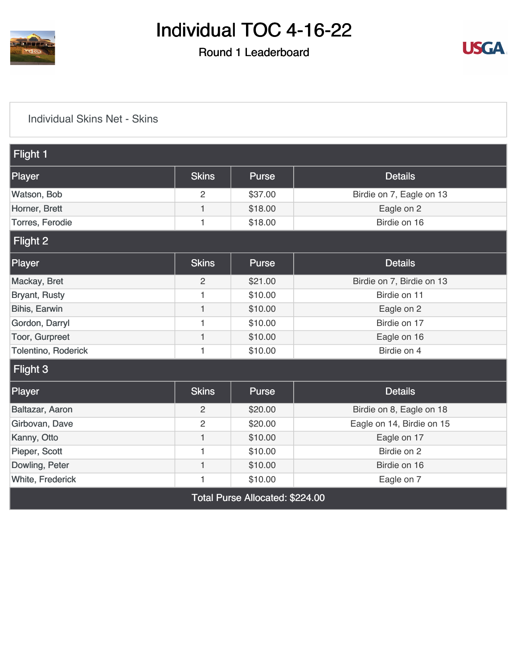

### Round 1 Leaderboard



#### [Individual Skins Net - Skins](https://cdn2.golfgenius.com/v2tournaments/8392304735260001186?called_from=&round_index=1)

| Flight 1                |                |              |                           |
|-------------------------|----------------|--------------|---------------------------|
|                         |                |              |                           |
| Player                  | <b>Skins</b>   | <b>Purse</b> | <b>Details</b>            |
| Watson, Bob             | 2              | \$37.00      | Birdie on 7, Eagle on 13  |
| Horner, Brett           | $\mathbf{1}$   | \$18.00      | Eagle on 2                |
| <b>Torres, Ferodie</b>  | 1              | \$18.00      | Birdie on 16              |
| Flight 2                |                |              |                           |
| Player                  | <b>Skins</b>   | <b>Purse</b> | <b>Details</b>            |
| Mackay, Bret            | $\overline{c}$ | \$21.00      | Birdie on 7, Birdie on 13 |
| <b>Bryant, Rusty</b>    | 1              | \$10.00      | Birdie on 11              |
| Bihis, Earwin           | $\mathbf{1}$   | \$10.00      | Eagle on 2                |
| Gordon, Darryl          | 1              | \$10.00      | Birdie on 17              |
| Toor, Gurpreet          | 1              | \$10.00      | Eagle on 16               |
| Tolentino, Roderick     | 1              | \$10.00      | Birdie on 4               |
| Flight 3                |                |              |                           |
| Player                  | <b>Skins</b>   | <b>Purse</b> | <b>Details</b>            |
| Baltazar, Aaron         | $\overline{2}$ | \$20.00      | Birdie on 8, Eagle on 18  |
| Girbovan, Dave          | $\overline{c}$ | \$20.00      | Eagle on 14, Birdie on 15 |
| Kanny, Otto             | $\mathbf{1}$   | \$10.00      | Eagle on 17               |
| Pieper, Scott           | 1              | \$10.00      | Birdie on 2               |
| Dowling, Peter          | 1              | \$10.00      | Birdie on 16              |
| <b>White, Frederick</b> | 1              | \$10.00      | Eagle on 7                |
|                         |                |              |                           |

Total Purse Allocated: \$224.00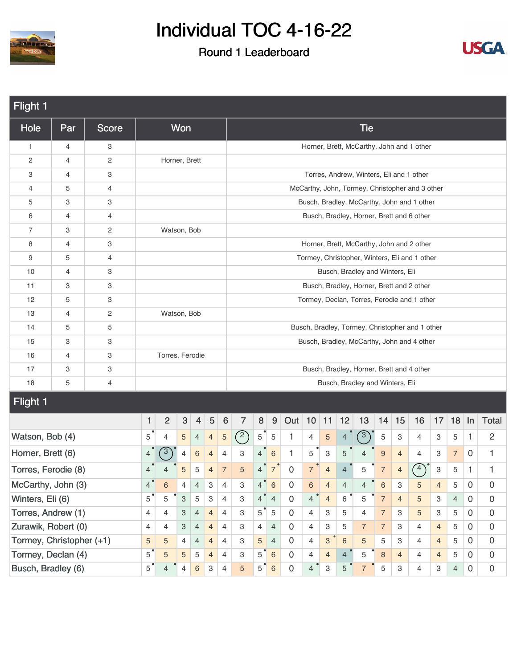



| Flight 1                 |                |                         |                                         |                         |            |                |                |                 |                |                |                  |                |                |                           |                |                                 |                |                           |                                                 |                |                |             |                |
|--------------------------|----------------|-------------------------|-----------------------------------------|-------------------------|------------|----------------|----------------|-----------------|----------------|----------------|------------------|----------------|----------------|---------------------------|----------------|---------------------------------|----------------|---------------------------|-------------------------------------------------|----------------|----------------|-------------|----------------|
| Hole                     | Par            | <b>Score</b>            |                                         |                         | Won        |                |                |                 |                |                |                  |                |                |                           |                | <b>Tie</b>                      |                |                           |                                                 |                |                |             |                |
| 1                        | $\overline{4}$ | 3                       |                                         |                         |            |                |                |                 |                |                |                  |                |                |                           |                |                                 |                |                           | Horner, Brett, McCarthy, John and 1 other       |                |                |             |                |
| 2                        | $\overline{4}$ | 2                       |                                         | Horner, Brett           |            |                |                |                 |                |                |                  |                |                |                           |                |                                 |                |                           |                                                 |                |                |             |                |
| 3                        | 4              | 3                       |                                         |                         |            |                |                |                 |                |                |                  |                |                |                           |                |                                 |                |                           | Torres, Andrew, Winters, Eli and 1 other        |                |                |             |                |
| 4                        | 5              | 4                       |                                         |                         |            |                |                |                 |                |                |                  |                |                |                           |                |                                 |                |                           | McCarthy, John, Tormey, Christopher and 3 other |                |                |             |                |
| 5                        | 3              | 3                       |                                         |                         |            |                |                |                 |                |                |                  |                |                |                           |                |                                 |                |                           | Busch, Bradley, McCarthy, John and 1 other      |                |                |             |                |
| 6                        | 4              | 4                       |                                         |                         |            |                |                |                 |                |                |                  |                |                |                           |                |                                 |                |                           | Busch, Bradley, Horner, Brett and 6 other       |                |                |             |                |
| 7                        | 3              | $\overline{\mathbf{c}}$ |                                         | Watson, Bob             |            |                |                |                 |                |                |                  |                |                |                           |                |                                 |                |                           |                                                 |                |                |             |                |
| 8                        | 4              | 3                       |                                         |                         |            |                |                |                 |                |                |                  |                |                |                           |                |                                 |                |                           | Horner, Brett, McCarthy, John and 2 other       |                |                |             |                |
| 9                        | 5              | 4                       |                                         |                         |            |                |                |                 |                |                |                  |                |                |                           |                |                                 |                |                           | Tormey, Christopher, Winters, Eli and 1 other   |                |                |             |                |
| 10                       | $\overline{4}$ | 3                       |                                         |                         |            |                |                |                 |                |                |                  |                |                |                           |                | Busch, Bradley and Winters, Eli |                |                           |                                                 |                |                |             |                |
| 11                       | 3              | 3                       |                                         |                         |            |                |                |                 |                |                |                  |                |                |                           |                |                                 |                |                           | Busch, Bradley, Horner, Brett and 2 other       |                |                |             |                |
| 12                       | 5              | 3                       |                                         |                         |            |                |                |                 |                |                |                  |                |                |                           |                |                                 |                |                           | Tormey, Declan, Torres, Ferodie and 1 other     |                |                |             |                |
| 13                       | $\overline{4}$ | $\overline{\mathbf{c}}$ |                                         | Watson, Bob             |            |                |                |                 |                |                |                  |                |                |                           |                |                                 |                |                           |                                                 |                |                |             |                |
| 14                       | 5              | 5                       |                                         |                         |            |                |                |                 |                |                |                  |                |                |                           |                |                                 |                |                           | Busch, Bradley, Tormey, Christopher and 1 other |                |                |             |                |
| 15                       | 3              | 3                       |                                         |                         |            |                |                |                 |                |                |                  |                |                |                           |                |                                 |                |                           | Busch, Bradley, McCarthy, John and 4 other      |                |                |             |                |
| 16                       | 4              | 3                       |                                         | Torres, Ferodie         |            |                |                |                 |                |                |                  |                |                |                           |                |                                 |                |                           |                                                 |                |                |             |                |
| 17                       | 3              | 3                       |                                         |                         |            |                |                |                 |                |                |                  |                |                |                           |                |                                 |                |                           | Busch, Bradley, Horner, Brett and 4 other       |                |                |             |                |
| 18                       | 5              | 4                       |                                         |                         |            |                |                |                 |                |                |                  |                |                |                           |                | Busch, Bradley and Winters, Eli |                |                           |                                                 |                |                |             |                |
| <b>Flight 1</b>          |                |                         |                                         |                         |            |                |                |                 |                |                |                  |                |                |                           |                |                                 |                |                           |                                                 |                |                |             |                |
|                          |                |                         | 1                                       | $\overline{\mathbf{c}}$ | $\sqrt{3}$ | $\overline{4}$ | 5              | $6\phantom{1}6$ | $\overline{7}$ | 8              | $\boldsymbol{9}$ | Out 10         |                | 11                        | 12             | 13                              | 14             | 15                        | 16                                              | 17             | 18             | $\ln$       | <b>Total</b>   |
| Watson, Bob (4)          |                |                         | 5                                       | 4                       | 5          | 4              | $\overline{4}$ | $\sqrt{5}$      | (2)            | 5 <sup>1</sup> | $\overline{5}$   | 1              | 4              | $\sqrt{5}$                | $\overline{4}$ | $\sqrt{3}$                      | $\mathbf 5$    | $\ensuremath{\mathsf{3}}$ | 4                                               | 3              | 5              | 1           | 2              |
| Horner, Brett (6)        |                |                         | 4                                       | $\mathbf{3}$            | 4          | $\,6$          | $\overline{4}$ | $\overline{4}$  | 3              | 4              | $\,6\,$          | $\mathbf{1}$   | 5              | $\ensuremath{\mathsf{3}}$ | 5              |                                 | 9              | $\overline{4}$            | 4                                               | 3              | $\overline{7}$ | 0           | 1              |
| Torres, Ferodie (8)      |                |                         | 4                                       |                         | 5          | 5              | $\overline{4}$ | $\overline{7}$  | 5              | 4              | $\overline{7}$   | $\mathbf 0$    | $\overline{7}$ | $\overline{4}$            | $\overline{4}$ | 5                               | $\overline{7}$ | $\overline{4}$            | $\left(4\right)$                                | 3              | 5              | 1           | 1              |
| McCarthy, John (3)       |                |                         | 4                                       | 6                       | 4          | 4              | 3              | 4               | 3              | 4              | $6\,$            | 0              | 6              | $\overline{4}$            | 4              | 4                               | 6              | 3                         | 5                                               | $\overline{4}$ | 5              | 0           | 0              |
| Winters, Eli (6)         |                |                         | $5^{\degree}$                           | 5                       | 3          | 5              | 3              | $\overline{4}$  | 3              | 4 <sup>°</sup> | $\overline{4}$   | $\mathbf 0$    | $\overline{4}$ | $\overline{4}$            | $\,6\,$        | 5                               | $\overline{7}$ | $\overline{4}$            | 5                                               | 3              | $\overline{4}$ | $\mathbf 0$ | $\mathbf 0$    |
| Torres, Andrew (1)       |                |                         | 4                                       | 4                       | 4          | $\overline{4}$ | 4              | 3               | $5^{\degree}$  | $\mathbf 5$    | $\mathbf 0$      | 4              | 3              | 5                         | 4              | $\overline{7}$                  | 3              | $\sqrt{5}$                | 3                                               | 5              | $\mathbf 0$    | $\mathbf 0$ |                |
| Zurawik, Robert (0)      |                |                         | 3<br>$\overline{4}$<br>4<br>4<br>4<br>4 |                         |            |                |                |                 | 3              | 4              | $\overline{4}$   | $\mathbf 0$    | 4              | 3                         | 5              | $\overline{7}$                  | $\overline{7}$ | 3                         | $\overline{4}$                                  | $\overline{4}$ | 5              | $\mathbf 0$ | $\overline{0}$ |
| Tormey, Christopher (+1) |                |                         | 5                                       | $\overline{5}$          | 4          | $\overline{4}$ | 4              | 3               | 5              | $\overline{4}$ | $\overline{0}$   | $\overline{4}$ | $\overline{3}$ | $6\phantom{1}6$           | 5              | 5                               | 3              | $\overline{4}$            | $\overline{4}$                                  | 5              | $\mathbf 0$    | $\mathbf 0$ |                |
| Tormey, Declan (4)       |                |                         | $5^{\degree}$                           | $\sqrt{5}$              | 5          | 5              | $\overline{4}$ | 4               | 3              | 5              | $\sqrt{6}$       | $\mathbf 0$    | $\overline{4}$ | $\overline{4}$            | $\overline{4}$ | 5                               | 8              | $\overline{4}$            | $\overline{4}$                                  | $\overline{4}$ | 5              | 0           | $\mathbf 0$    |
| Busch, Bradley (6)       |                |                         | $5^{\degree}$                           | 4                       | 4          | 6              | 3              | 4               | 5              | $5^{\degree}$  | $\sqrt{6}$       | $\overline{0}$ | $\overline{4}$ | $\ensuremath{\mathsf{3}}$ | 5              | $\overline{7}$                  | 5              | 3                         | $\overline{4}$                                  | 3              | 4              | $\mathbf 0$ | $\mathbf 0$    |
|                          |                |                         |                                         |                         |            |                |                |                 |                |                |                  |                |                |                           |                |                                 |                |                           |                                                 |                |                |             |                |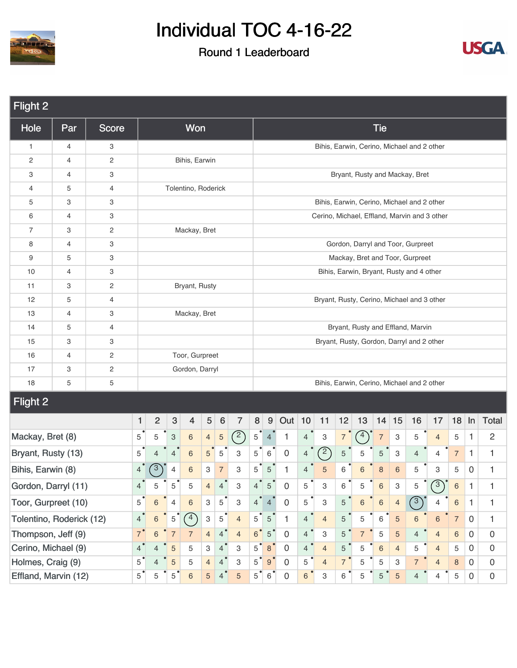



| Flight 2                 |                |                |                |                                                                                   |                |                     |                           |                 |                |                |                  |                     |                |                |                |                |                |                           |                                            |                                              |                |              |                     |
|--------------------------|----------------|----------------|----------------|-----------------------------------------------------------------------------------|----------------|---------------------|---------------------------|-----------------|----------------|----------------|------------------|---------------------|----------------|----------------|----------------|----------------|----------------|---------------------------|--------------------------------------------|----------------------------------------------|----------------|--------------|---------------------|
| Hole                     | Par            | <b>Score</b>   |                |                                                                                   |                | Won                 |                           |                 |                |                |                  |                     |                |                |                |                | <b>Tie</b>     |                           |                                            |                                              |                |              |                     |
| $\mathbf{1}$             | 4              | 3              |                |                                                                                   |                |                     |                           |                 |                |                |                  |                     |                |                |                |                |                |                           | Bihis, Earwin, Cerino, Michael and 2 other |                                              |                |              |                     |
| 2                        | $\overline{4}$ | 2              |                |                                                                                   |                | Bihis, Earwin       |                           |                 |                |                |                  |                     |                |                |                |                |                |                           |                                            |                                              |                |              |                     |
| 3                        | 4              | 3              |                |                                                                                   |                |                     |                           |                 |                |                |                  |                     |                |                |                |                |                |                           | Bryant, Rusty and Mackay, Bret             |                                              |                |              |                     |
| $\overline{4}$           | 5              | $\overline{4}$ |                |                                                                                   |                | Tolentino, Roderick |                           |                 |                |                |                  |                     |                |                |                |                |                |                           |                                            |                                              |                |              |                     |
| 5                        | 3              | 3              |                |                                                                                   |                |                     |                           |                 |                |                |                  |                     |                |                |                |                |                |                           | Bihis, Earwin, Cerino, Michael and 2 other |                                              |                |              |                     |
| 6                        | 4              | 3              |                |                                                                                   |                |                     |                           |                 |                |                |                  |                     |                |                |                |                |                |                           |                                            | Cerino, Michael, Effland, Marvin and 3 other |                |              |                     |
| 7                        | 3              | 2              |                |                                                                                   |                | Mackay, Bret        |                           |                 |                |                |                  |                     |                |                |                |                |                |                           |                                            |                                              |                |              |                     |
| 8                        | 4              | 3              |                |                                                                                   |                |                     |                           |                 |                |                |                  |                     |                |                |                |                |                |                           | Gordon, Darryl and Toor, Gurpreet          |                                              |                |              |                     |
| 9                        | 5              | 3              |                |                                                                                   |                |                     |                           |                 |                |                |                  |                     |                |                |                |                |                |                           | Mackay, Bret and Toor, Gurpreet            |                                              |                |              |                     |
| 10                       | $\overline{4}$ | 3              |                |                                                                                   |                |                     |                           |                 |                |                |                  |                     |                |                |                |                |                |                           | Bihis, Earwin, Bryant, Rusty and 4 other   |                                              |                |              |                     |
| 11                       | 3              | 2              |                |                                                                                   |                | Bryant, Rusty       |                           |                 |                |                |                  |                     |                |                |                |                |                |                           |                                            |                                              |                |              |                     |
| 12                       | 5              | $\overline{4}$ |                |                                                                                   |                |                     |                           |                 |                |                |                  |                     |                |                |                |                |                |                           | Bryant, Rusty, Cerino, Michael and 3 other |                                              |                |              |                     |
| 13                       | 4              | 3              |                |                                                                                   |                | Mackay, Bret        |                           |                 |                |                |                  |                     |                |                |                |                |                |                           |                                            |                                              |                |              |                     |
| 14                       | 5              | 4              |                |                                                                                   |                |                     |                           |                 |                |                |                  |                     |                |                |                |                |                |                           | Bryant, Rusty and Effland, Marvin          |                                              |                |              |                     |
| 15                       | 3              | 3              |                |                                                                                   |                |                     |                           |                 |                |                |                  |                     |                |                |                |                |                |                           | Bryant, Rusty, Gordon, Darryl and 2 other  |                                              |                |              |                     |
| 16                       | 4              | $\mathbf{2}$   |                |                                                                                   |                | Toor, Gurpreet      |                           |                 |                |                |                  |                     |                |                |                |                |                |                           |                                            |                                              |                |              |                     |
| 17                       | 3              | $\sqrt{2}$     |                |                                                                                   |                | Gordon, Darryl      |                           |                 |                |                |                  |                     |                |                |                |                |                |                           |                                            |                                              |                |              |                     |
| 18                       | 5              | 5              |                |                                                                                   |                |                     |                           |                 |                |                |                  |                     |                |                |                |                |                |                           | Bihis, Earwin, Cerino, Michael and 2 other |                                              |                |              |                     |
| Flight 2                 |                |                |                |                                                                                   |                |                     |                           |                 |                |                |                  |                     |                |                |                |                |                |                           |                                            |                                              |                |              |                     |
|                          |                |                | 1              | $\overline{c}$                                                                    | $\sqrt{3}$     | $\overline{4}$      | $\sqrt{5}$                | $6\phantom{1}6$ | $\overline{7}$ | $\bf 8$        | $9\,$            | Out $10$            |                | 11             | 12             | 13             | 14             | 15                        | 16                                         | 17                                           | 18             | In           | <b>Total</b>        |
| Mackay, Bret (8)         |                |                | 5              | 5                                                                                 | 3              | $\,6\,$             | $\overline{4}$            | $\sqrt{5}$      | (2)            | $5^{\degree}$  | $\overline{4}$   | $\mathbf{1}$        | $\overline{4}$ | 3              | $\overline{7}$ | $\binom{4}{ }$ | $\overline{7}$ | $\ensuremath{\mathsf{3}}$ | 5                                          | $\overline{4}$                               | 5              | $\mathbf{1}$ | $\overline{c}$      |
| Bryant, Rusty (13)       |                |                | 5              | $\overline{4}$                                                                    | $\overline{4}$ | $\,6\,$             | 5                         | $\mathbf 5$     | 3              | 5              | $\,6\,$          | $\boldsymbol{0}$    | $\overline{4}$ | $\binom{2}{ }$ | $\mathbf 5$    | 5              | 5              | $\ensuremath{\mathsf{3}}$ | $\overline{4}$                             | 4                                            | $\overline{7}$ | $\mathbf{1}$ | $\mathbf{1}$        |
| Bihis, Earwin (8)        |                |                | $\overline{4}$ | $\sqrt{3}$                                                                        | $\overline{4}$ | $6\phantom{1}6$     | 3                         | $\overline{7}$  | 3              | 5              | $\mathbf 5$      | 1                   | $\overline{4}$ | $\overline{5}$ | 6              | 6              | 8              | $\,$ 6 $\,$               | 5                                          | 3                                            | 5              | 0            | $\mathbf{1}$        |
| Gordon, Darryl (11)      |                |                | $\overline{4}$ | 5                                                                                 | $\,$ 5 $\,$    | 5                   | $\overline{4}$            | $\overline{4}$  | 3              | $\overline{4}$ | $\mathbf 5$      | 0                   | 5              | 3              | 6              | 5              | $\,$ 6 $\,$    | $\mathbf{3}$              | 5                                          | (3)                                          | $\,$ 6 $\,$    | 1            | 1                   |
| Toor, Gurpreet (10)      |                |                | 5              | $\overline{4}$<br>$\ensuremath{\mathsf{3}}$<br>$6\phantom{1}6$<br>$6\,$<br>5<br>3 |                |                     |                           |                 |                |                |                  | $\mathsf{O}\xspace$ | 5              | 3              | $\sqrt{5}$     | $\,6\,$        | 6              | $\overline{4}$            | $\binom{3}{}$                              | 4                                            | $\,$ 6 $\,$    | $\mathbf{1}$ | $\mathbf{1}$        |
| Tolentino, Roderick (12) |                |                | $\overline{4}$ | $\,6\,$                                                                           | $\,$ 5 $\,$    | $\binom{4}{}$       | $\ensuremath{\mathsf{3}}$ | $5^{\degree}$   | $\overline{4}$ | 5 <sup>1</sup> | $\mathbf 5$      | $\mathbf{1}$        | $\overline{4}$ | $\overline{4}$ | $\overline{5}$ | 5              | 6              | $\sqrt{5}$                | $6\phantom{a}$                             | $\,6\,$                                      | $\overline{7}$ | $\mathbf 0$  | $\mathbf{1}$        |
| Thompson, Jeff (9)       |                |                | $7^{\degree}$  | $6\phantom{1}$                                                                    | $\overline{7}$ | $\overline{7}$      | $\overline{4}$            | $4^{\degree}$   | $\overline{4}$ | 6 <sup>o</sup> | $5^{\degree}$    | $\boldsymbol{0}$    | $4^{\degree}$  | 3              | $\sqrt{5}$     | $\overline{7}$ | 5              | $\sqrt{5}$                | $\overline{4}$                             | $\overline{4}$                               | 6              | $\mathbf 0$  | $\mathbf 0$         |
| Cerino, Michael (9)      |                |                | $4^{\degree}$  | $\overline{4}$                                                                    | 5              | 5                   | 3                         | $4^{\degree}$   | 3              | $5^{\degree}$  | $\bf8$           | 0                   | $\overline{4}$ | $\overline{4}$ | $\overline{5}$ | 5              | 6              | $\overline{4}$            | 5                                          | $\overline{4}$                               | 5              | $\mathbf 0$  | $\mathsf{O}\xspace$ |
| Holmes, Craig (9)        |                |                | $5^{\degree}$  | 4                                                                                 | 5              | 5                   | $\overline{4}$            | $4^{\degree}$   | 3              | $5^{\degree}$  | $\boldsymbol{9}$ | 0                   | 5              | $\overline{4}$ | $7^{\circ}$    | 5              | 5              | $\ensuremath{\mathsf{3}}$ | $\overline{7}$                             | $\overline{4}$                               | 8              | $\mathbf 0$  | $\mathbf 0$         |
| Effland, Marvin (12)     |                |                | $5^{\degree}$  | 5                                                                                 | $5^{\degree}$  | $6\,$               | 5                         | 4 <sup>1</sup>  | 5              | 5              | 6                | $\mathbf 0$         | $6\phantom{a}$ | 3              | $6^{\circ}$    | 5              | 5              | $\sqrt{5}$                | 4                                          | 4                                            | 5              | 0            | $\boldsymbol{0}$    |